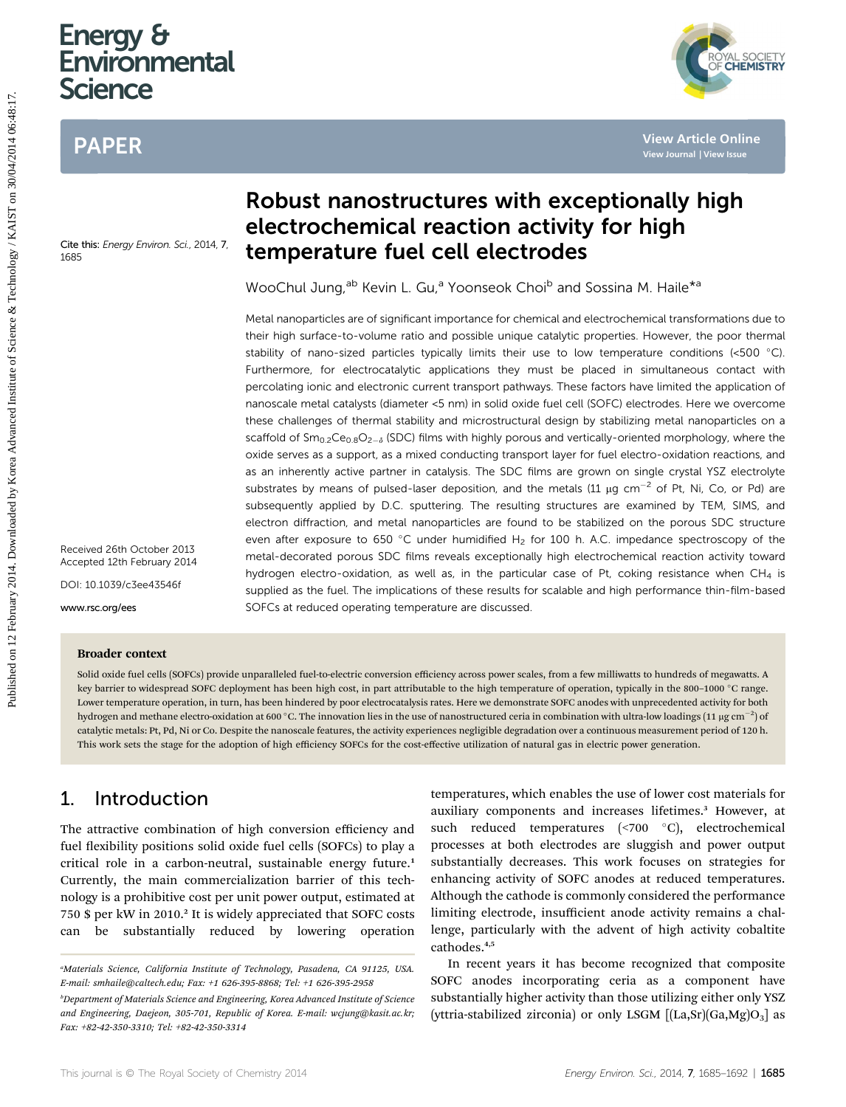# Energy & **Environmental Science**

# PAPER



Received 26th October 2013 Accepted 12th February 2014

DOI: 10.1039/c3ee43546f

www.rsc.org/ees

#### Broader context

#### Solid oxide fuel cells (SOFCs) provide unparalleled fuel-to-electric conversion efficiency across power scales, from a few milliwatts to hundreds of megawatts. A key barrier to widespread SOFC deployment has been high cost, in part attributable to the high temperature of operation, typically in the 800-1000 °C range. Lower temperature operation, in turn, has been hindered by poor electrocatalysis rates. Here we demonstrate SOFC anodes with unprecedented activity for both hydrogen and methane electro-oxidation at 600 °C. The innovation lies in the use of nanostructured ceria in combination with ultra-low loadings (11 µg cm $^{-2}$ ) of catalytic metals: Pt, Pd, Ni or Co. Despite the nanoscale features, the activity experiences negligible degradation over a continuous measurement period of 120 h. This work sets the stage for the adoption of high efficiency SOFCs for the cost-effective utilization of natural gas in electric power generation.

#### 1. Introduction

The attractive combination of high conversion efficiency and fuel flexibility positions solid oxide fuel cells (SOFCs) to play a critical role in a carbon-neutral, sustainable energy future.<sup>1</sup> Currently, the main commercialization barrier of this technology is a prohibitive cost per unit power output, estimated at 750 \$ per kW in 2010.<sup>2</sup> It is widely appreciated that SOFC costs can be substantially reduced by lowering operation

# Robust nanostructures with exceptionally high electrochemical reaction activity for high temperature fuel cell electrodes

WooChul Jung,<sup>ab</sup> Kevin L. Gu,<sup>a</sup> Yoonseok Choi<sup>b</sup> and Sossina M. Haile<sup>\*a</sup>

Metal nanoparticles are of significant importance for chemical and electrochemical transformations due to their high surface-to-volume ratio and possible unique catalytic properties. However, the poor thermal stability of nano-sized particles typically limits their use to low temperature conditions (<500 C). Furthermore, for electrocatalytic applications they must be placed in simultaneous contact with percolating ionic and electronic current transport pathways. These factors have limited the application of nanoscale metal catalysts (diameter <5 nm) in solid oxide fuel cell (SOFC) electrodes. Here we overcome these challenges of thermal stability and microstructural design by stabilizing metal nanoparticles on a scaffold of  $Sm_{0.2}Ce_{0.8}O_{2-\delta}$  (SDC) films with highly porous and vertically-oriented morphology, where the oxide serves as a support, as a mixed conducting transport layer for fuel electro-oxidation reactions, and as an inherently active partner in catalysis. The SDC films are grown on single crystal YSZ electrolyte substrates by means of pulsed-laser deposition, and the metals (11  $\mu$ g cm<sup>-2</sup> of Pt, Ni, Co, or Pd) are subsequently applied by D.C. sputtering. The resulting structures are examined by TEM, SIMS, and electron diffraction, and metal nanoparticles are found to be stabilized on the porous SDC structure even after exposure to 650 °C under humidified  $H_2$  for 100 h. A.C. impedance spectroscopy of the metal-decorated porous SDC films reveals exceptionally high electrochemical reaction activity toward hydrogen electro-oxidation, as well as, in the particular case of Pt, coking resistance when  $CH<sub>4</sub>$  is supplied as the fuel. The implications of these results for scalable and high performance thin-film-based SOFCs at reduced operating temperature are discussed. **Publish Columbust manostructures with exceptionally high<br>
<b>Examples and Columbust Science Advanced By Advanced By Advanced Changes<br>
Series and Columbust Science Advanced By Advanced By Advanced Changes in Social M. Halle<sup>**</sup>

> temperatures, which enables the use of lower cost materials for auxiliary components and increases lifetimes.<sup>3</sup> However, at such reduced temperatures  $(\leq 700$  °C), electrochemical processes at both electrodes are sluggish and power output substantially decreases. This work focuses on strategies for enhancing activity of SOFC anodes at reduced temperatures. Although the cathode is commonly considered the performance limiting electrode, insufficient anode activity remains a challenge, particularly with the advent of high activity cobaltite cathodes.4,5

> In recent years it has become recognized that composite SOFC anodes incorporating ceria as a component have substantially higher activity than those utilizing either only YSZ (yttria-stabilized zirconia) or only LSGM  $[(La, Sr)(Ga, Mg)O<sub>3</sub>]$  as

YAL SOCIETY<br>**CHEMISTRY** 

a Materials Science, California Institute of Technology, Pasadena, CA 91125, USA. E-mail: smhaile@caltech.edu; Fax: +1 626-395-8868; Tel: +1 626-395-2958

b Department of Materials Science and Engineering, Korea Advanced Institute of Science and Engineering, Daejeon, 305-701, Republic of Korea. E-mail: wcjung@kasit.ac.kr; Fax: +82-42-350-3310; Tel: +82-42-350-3314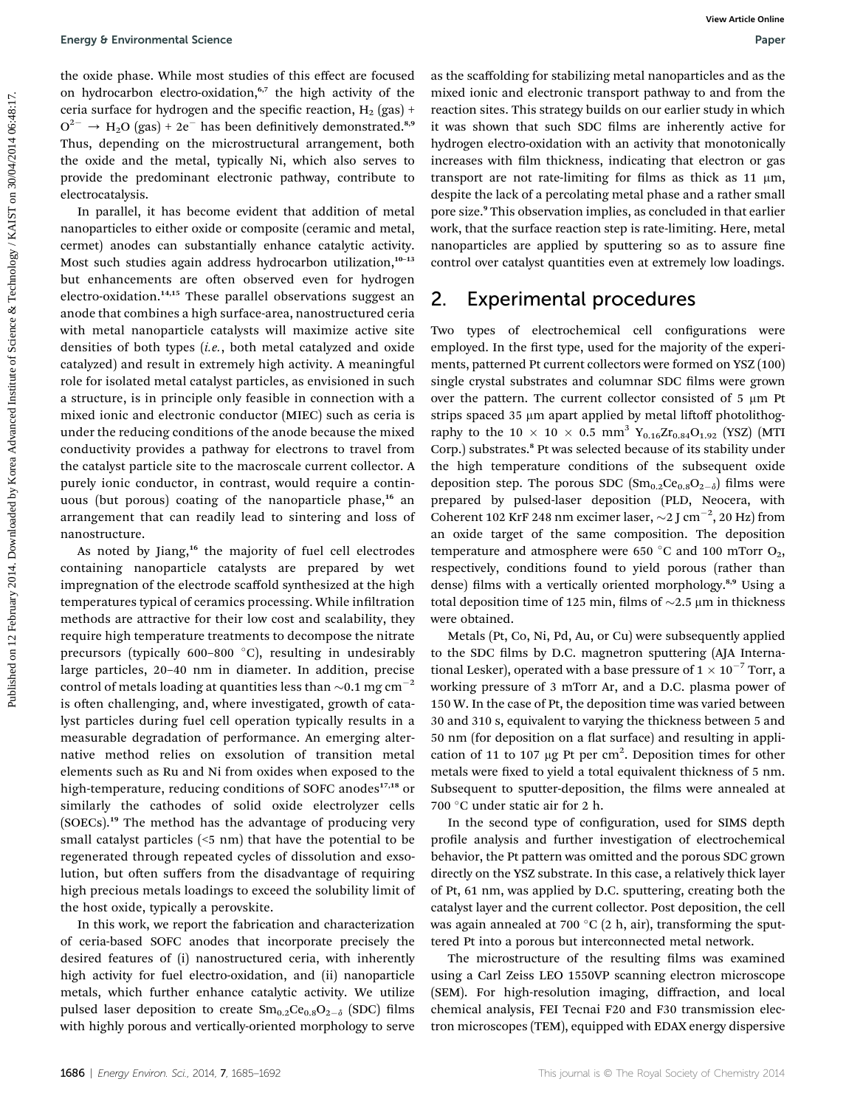the oxide phase. While most studies of this effect are focused on hydrocarbon electro-oxidation,<sup>6,7</sup> the high activity of the ceria surface for hydrogen and the specific reaction,  $H_2$  (gas) +  $O^{2-} \rightarrow H_2O$  (gas) + 2e<sup>-</sup> has been definitively demonstrated.<sup>8,9</sup> Thus, depending on the microstructural arrangement, both the oxide and the metal, typically Ni, which also serves to provide the predominant electronic pathway, contribute to electrocatalysis.

In parallel, it has become evident that addition of metal nanoparticles to either oxide or composite (ceramic and metal, cermet) anodes can substantially enhance catalytic activity. Most such studies again address hydrocarbon utilization,<sup>10-13</sup> but enhancements are often observed even for hydrogen electro-oxidation.<sup>14,15</sup> These parallel observations suggest an anode that combines a high surface-area, nanostructured ceria with metal nanoparticle catalysts will maximize active site densities of both types (i.e., both metal catalyzed and oxide catalyzed) and result in extremely high activity. A meaningful role for isolated metal catalyst particles, as envisioned in such a structure, is in principle only feasible in connection with a mixed ionic and electronic conductor (MIEC) such as ceria is under the reducing conditions of the anode because the mixed conductivity provides a pathway for electrons to travel from the catalyst particle site to the macroscale current collector. A purely ionic conductor, in contrast, would require a continuous (but porous) coating of the nanoparticle phase,<sup>16</sup> an arrangement that can readily lead to sintering and loss of nanostructure. Framy 9 Enteromental science<br>
The minist contribute on this effect are framework in the carbitation contribute on 12 February 2014. The particle control of the state of the state of the state of the state of the state of

As noted by Jiang,<sup>16</sup> the majority of fuel cell electrodes containing nanoparticle catalysts are prepared by wet impregnation of the electrode scaffold synthesized at the high temperatures typical of ceramics processing. While infiltration methods are attractive for their low cost and scalability, they require high temperature treatments to decompose the nitrate precursors (typically  $600-800$  °C), resulting in undesirably large particles, 20–40 nm in diameter. In addition, precise control of metals loading at quantities less than  $\sim 0.1$  mg cm<sup>-2</sup> is often challenging, and, where investigated, growth of catalyst particles during fuel cell operation typically results in a measurable degradation of performance. An emerging alternative method relies on exsolution of transition metal elements such as Ru and Ni from oxides when exposed to the high-temperature, reducing conditions of SOFC anodes<sup>17,18</sup> or similarly the cathodes of solid oxide electrolyzer cells (SOECs).<sup>19</sup> The method has the advantage of producing very small catalyst particles (<5 nm) that have the potential to be regenerated through repeated cycles of dissolution and exsolution, but often suffers from the disadvantage of requiring high precious metals loadings to exceed the solubility limit of the host oxide, typically a perovskite.

In this work, we report the fabrication and characterization of ceria-based SOFC anodes that incorporate precisely the desired features of (i) nanostructured ceria, with inherently high activity for fuel electro-oxidation, and (ii) nanoparticle metals, which further enhance catalytic activity. We utilize pulsed laser deposition to create  $Sm_{0.2}Ce_{0.8}O_{2-\delta}$  (SDC) films with highly porous and vertically-oriented morphology to serve

as the scaffolding for stabilizing metal nanoparticles and as the mixed ionic and electronic transport pathway to and from the reaction sites. This strategy builds on our earlier study in which it was shown that such SDC films are inherently active for hydrogen electro-oxidation with an activity that monotonically increases with film thickness, indicating that electron or gas transport are not rate-limiting for films as thick as  $11 \mu m$ , despite the lack of a percolating metal phase and a rather small pore size.<sup>9</sup> This observation implies, as concluded in that earlier work, that the surface reaction step is rate-limiting. Here, metal nanoparticles are applied by sputtering so as to assure fine control over catalyst quantities even at extremely low loadings.

#### 2. Experimental procedures

Two types of electrochemical cell configurations were employed. In the first type, used for the majority of the experiments, patterned Pt current collectors were formed on YSZ (100) single crystal substrates and columnar SDC films were grown over the pattern. The current collector consisted of  $5 \mu m$  Pt strips spaced 35 µm apart applied by metal liftoff photolithography to the 10  $\times$  10  $\times$  0.5 mm<sup>3</sup> Y<sub>0.16</sub>Zr<sub>0.84</sub>O<sub>1.92</sub> (YSZ) (MTI Corp.) substrates.<sup>8</sup> Pt was selected because of its stability under the high temperature conditions of the subsequent oxide deposition step. The porous SDC  $(Sm_{0.2}Ce_{0.8}O_{2-\delta})$  films were prepared by pulsed-laser deposition (PLD, Neocera, with Coherent 102 KrF 248 nm excimer laser,  $\sim$ 2 J cm<sup>-2</sup>, 20 Hz) from an oxide target of the same composition. The deposition temperature and atmosphere were 650 °C and 100 mTorr  $O_2$ , respectively, conditions found to yield porous (rather than dense) films with a vertically oriented morphology.<sup>8,9</sup> Using a total deposition time of 125 min, films of  $\sim$ 2.5 µm in thickness were obtained.

Metals (Pt, Co, Ni, Pd, Au, or Cu) were subsequently applied to the SDC films by D.C. magnetron sputtering (AJA International Lesker), operated with a base pressure of 1  $\times$   $10^{-7}$  Torr, a working pressure of 3 mTorr Ar, and a D.C. plasma power of 150 W. In the case of Pt, the deposition time was varied between 30 and 310 s, equivalent to varying the thickness between 5 and 50 nm (for deposition on a flat surface) and resulting in application of 11 to 107  $\mu$ g Pt per cm<sup>2</sup>. Deposition times for other metals were fixed to yield a total equivalent thickness of 5 nm. Subsequent to sputter-deposition, the films were annealed at 700 °C under static air for 2 h.

In the second type of configuration, used for SIMS depth profile analysis and further investigation of electrochemical behavior, the Pt pattern was omitted and the porous SDC grown directly on the YSZ substrate. In this case, a relatively thick layer of Pt, 61 nm, was applied by D.C. sputtering, creating both the catalyst layer and the current collector. Post deposition, the cell was again annealed at 700  $\mathrm{C}(2 \text{ h}, \text{air})$ , transforming the sputtered Pt into a porous but interconnected metal network.

The microstructure of the resulting films was examined using a Carl Zeiss LEO 1550VP scanning electron microscope (SEM). For high-resolution imaging, diffraction, and local chemical analysis, FEI Tecnai F20 and F30 transmission electron microscopes (TEM), equipped with EDAX energy dispersive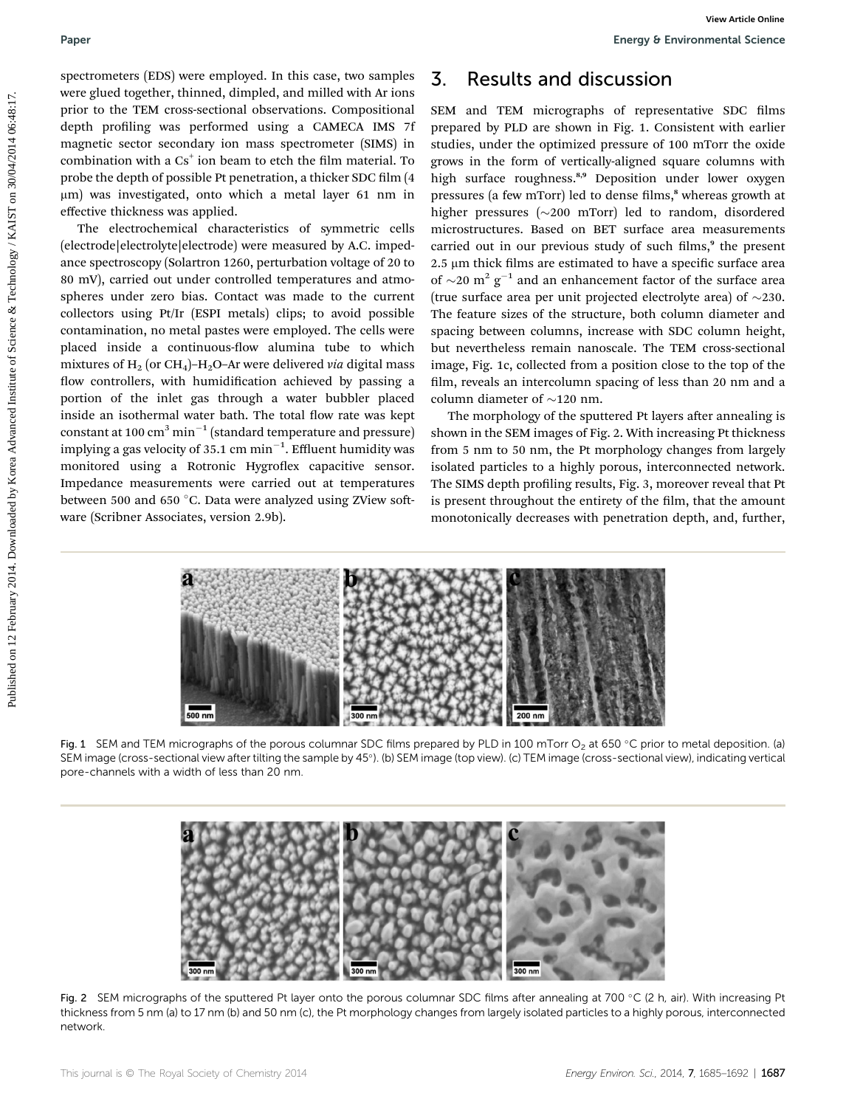spectrometers (EDS) were employed. In this case, two samples were glued together, thinned, dimpled, and milled with Ar ions prior to the TEM cross-sectional observations. Compositional depth profiling was performed using a CAMECA IMS 7f magnetic sector secondary ion mass spectrometer (SIMS) in combination with a  $Cs<sup>+</sup>$  ion beam to etch the film material. To probe the depth of possible Pt penetration, a thicker SDC film (4 mm) was investigated, onto which a metal layer 61 nm in effective thickness was applied.

The electrochemical characteristics of symmetric cells (electrode|electrolyte|electrode) were measured by A.C. impedance spectroscopy (Solartron 1260, perturbation voltage of 20 to 80 mV), carried out under controlled temperatures and atmospheres under zero bias. Contact was made to the current collectors using Pt/Ir (ESPI metals) clips; to avoid possible contamination, no metal pastes were employed. The cells were placed inside a continuous-flow alumina tube to which mixtures of  $H_2$  (or CH<sub>4</sub>)-H<sub>2</sub>O-Ar were delivered via digital mass flow controllers, with humidification achieved by passing a portion of the inlet gas through a water bubbler placed inside an isothermal water bath. The total flow rate was kept constant at 100  $\text{cm}^3 \text{min}^{-1}$  (standard temperature and pressure) implying a gas velocity of 35.1 cm  $\mathrm{min}^{-1}.$  Effluent humidity was monitored using a Rotronic Hygroflex capacitive sensor. Impedance measurements were carried out at temperatures between 500 and 650  $^{\circ}$ C. Data were analyzed using ZView software (Scribner Associates, version 2.9b). Pape the system of 128) was employed in this anset to margins. **3.** Results and discussion recompensation state on the matter of the matter of the matter of the matter of the matter of the matter of the matter of the matte

## 3. Results and discussion

SEM and TEM micrographs of representative SDC films prepared by PLD are shown in Fig. 1. Consistent with earlier studies, under the optimized pressure of 100 mTorr the oxide grows in the form of vertically-aligned square columns with high surface roughness.<sup>8,9</sup> Deposition under lower oxygen pressures (a few mTorr) led to dense films,<sup>8</sup> whereas growth at higher pressures  $(\sim 200$  mTorr) led to random, disordered microstructures. Based on BET surface area measurements carried out in our previous study of such films,<sup>9</sup> the present  $2.5 \mu m$  thick films are estimated to have a specific surface area of  $\sim$ 20 m<sup>2</sup> g<sup>-1</sup> and an enhancement factor of the surface area (true surface area per unit projected electrolyte area) of  $\sim$ 230. The feature sizes of the structure, both column diameter and spacing between columns, increase with SDC column height, but nevertheless remain nanoscale. The TEM cross-sectional image, Fig. 1c, collected from a position close to the top of the film, reveals an intercolumn spacing of less than 20 nm and a column diameter of  $\sim$ 120 nm.

The morphology of the sputtered Pt layers after annealing is shown in the SEM images of Fig. 2. With increasing Pt thickness from 5 nm to 50 nm, the Pt morphology changes from largely isolated particles to a highly porous, interconnected network. The SIMS depth profiling results, Fig. 3, moreover reveal that Pt is present throughout the entirety of the film, that the amount monotonically decreases with penetration depth, and, further,



Fig. 1 SEM and TEM micrographs of the porous columnar SDC films prepared by PLD in 100 mTorr O<sub>2</sub> at 650 °C prior to metal deposition. (a) SEM image (cross-sectional view after tilting the sample by 45). (b) SEM image (top view). (c) TEM image (cross-sectional view), indicating vertical pore-channels with a width of less than 20 nm.



Fig. 2 SEM micrographs of the sputtered Pt layer onto the porous columnar SDC films after annealing at 700 °C (2 h, air). With increasing Pt thickness from 5 nm (a) to 17 nm (b) and 50 nm (c), the Pt morphology changes from largely isolated particles to a highly porous, interconnected network.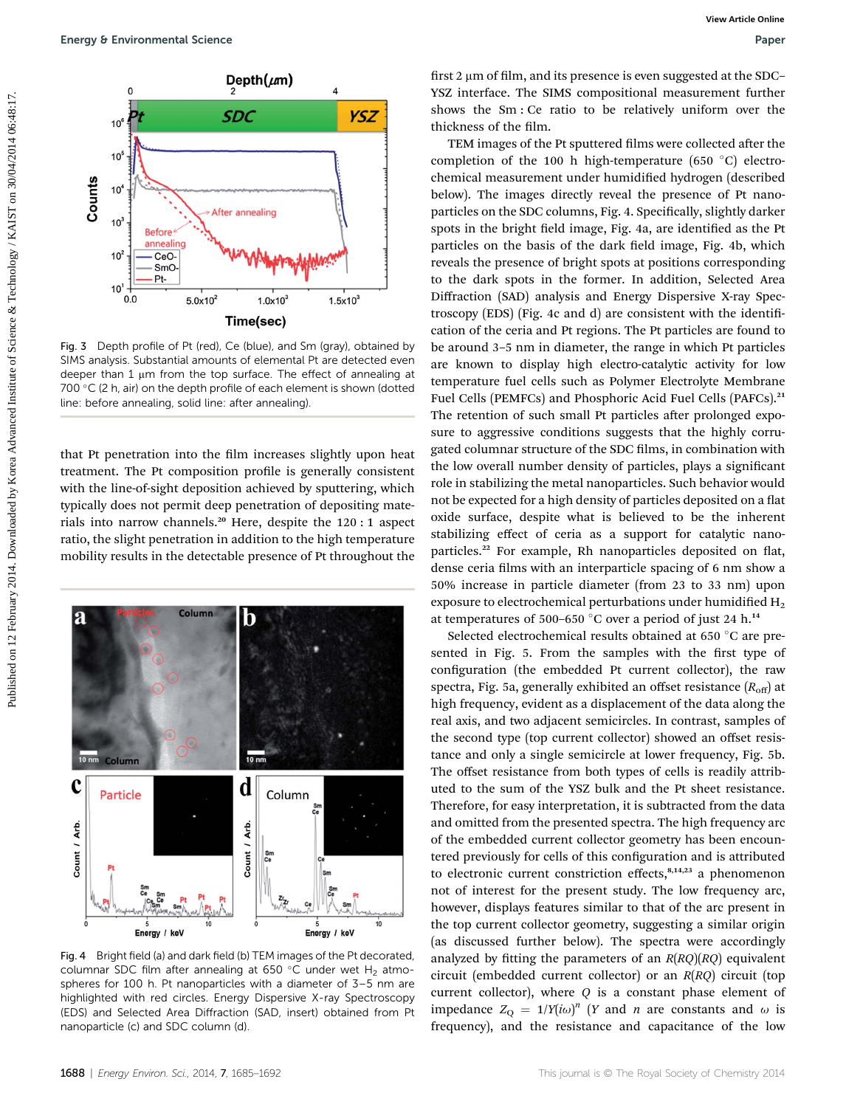

Fig. 3 Depth profile of Pt (red), Ce (blue), and Sm (gray), obtained by SIMS analysis. Substantial amounts of elemental Pt are detected even deeper than 1  $\mu$ m from the top surface. The effect of annealing at 700  $\degree$ C (2 h, air) on the depth profile of each element is shown (dotted line: before annealing, solid line: after annealing).

that Pt penetration into the film increases slightly upon heat treatment. The Pt composition profile is generally consistent with the line-of-sight deposition achieved by sputtering, which typically does not permit deep penetration of depositing materials into narrow channels.<sup>20</sup> Here, despite the 120 : 1 aspect ratio, the slight penetration in addition to the high temperature mobility results in the detectable presence of Pt throughout the



Fig. 4 Bright field (a) and dark field (b) TEM images of the Pt decorated, columnar SDC film after annealing at 650 °C under wet H<sub>2</sub> atmospheres for 100 h. Pt nanoparticles with a diameter of 3–5 nm are highlighted with red circles. Energy Dispersive X-ray Spectroscopy (EDS) and Selected Area Diffraction (SAD, insert) obtained from Pt nanoparticle (c) and SDC column (d).

first 2  $\mu$ m of film, and its presence is even suggested at the SDC– YSZ interface. The SIMS compositional measurement further shows the Sm : Ce ratio to be relatively uniform over the thickness of the film.

TEM images of the Pt sputtered films were collected after the completion of the 100 h high-temperature (650  $^{\circ}$ C) electrochemical measurement under humidified hydrogen (described below). The images directly reveal the presence of Pt nanoparticles on the SDC columns, Fig. 4. Specifically, slightly darker spots in the bright field image, Fig. 4a, are identified as the Pt particles on the basis of the dark field image, Fig. 4b, which reveals the presence of bright spots at positions corresponding to the dark spots in the former. In addition, Selected Area Diffraction (SAD) analysis and Energy Dispersive X-ray Spectroscopy  $(EDS)$  (Fig. 4c and d) are consistent with the identification of the ceria and Pt regions. The Pt particles are found to be around 3–5 nm in diameter, the range in which Pt particles are known to display high electro-catalytic activity for low temperature fuel cells such as Polymer Electrolyte Membrane Fuel Cells (PEMFCs) and Phosphoric Acid Fuel Cells (PAFCs).<sup>21</sup> The retention of such small Pt particles after prolonged exposure to aggressive conditions suggests that the highly corrugated columnar structure of the SDC films, in combination with the low overall number density of particles, plays a signicant role in stabilizing the metal nanoparticles. Such behavior would not be expected for a high density of particles deposited on a flat oxide surface, despite what is believed to be the inherent stabilizing effect of ceria as a support for catalytic nanoparticles.<sup>22</sup> For example, Rh nanoparticles deposited on flat, dense ceria films with an interparticle spacing of 6 nm show a 50% increase in particle diameter (from 23 to 33 nm) upon exposure to electrochemical perturbations under humidified  $H_2$ at temperatures of 500–650  $^{\circ}$ C over a period of just 24 h.<sup>14</sup> **Published on 12 February 2014. Control institute of Control institute of Control institute of Control institute of Control institute of Control institute of Control institute of Control institute of Control institute o** 

Selected electrochemical results obtained at 650 °C are presented in Fig. 5. From the samples with the first type of configuration (the embedded Pt current collector), the raw spectra, Fig. 5a, generally exhibited an offset resistance  $(R_{off})$  at high frequency, evident as a displacement of the data along the real axis, and two adjacent semicircles. In contrast, samples of the second type (top current collector) showed an offset resistance and only a single semicircle at lower frequency, Fig. 5b. The offset resistance from both types of cells is readily attributed to the sum of the YSZ bulk and the Pt sheet resistance. Therefore, for easy interpretation, it is subtracted from the data and omitted from the presented spectra. The high frequency arc of the embedded current collector geometry has been encountered previously for cells of this configuration and is attributed to electronic current constriction effects,<sup>8,14,23</sup> a phenomenon not of interest for the present study. The low frequency arc, however, displays features similar to that of the arc present in the top current collector geometry, suggesting a similar origin (as discussed further below). The spectra were accordingly analyzed by fitting the parameters of an  $R(RQ)(RQ)$  equivalent circuit (embedded current collector) or an R(RQ) circuit (top current collector), where  $Q$  is a constant phase element of impedance  $Z_Q = 1/Y(i\omega)^n$  (Y and n are constants and  $\omega$  is frequency), and the resistance and capacitance of the low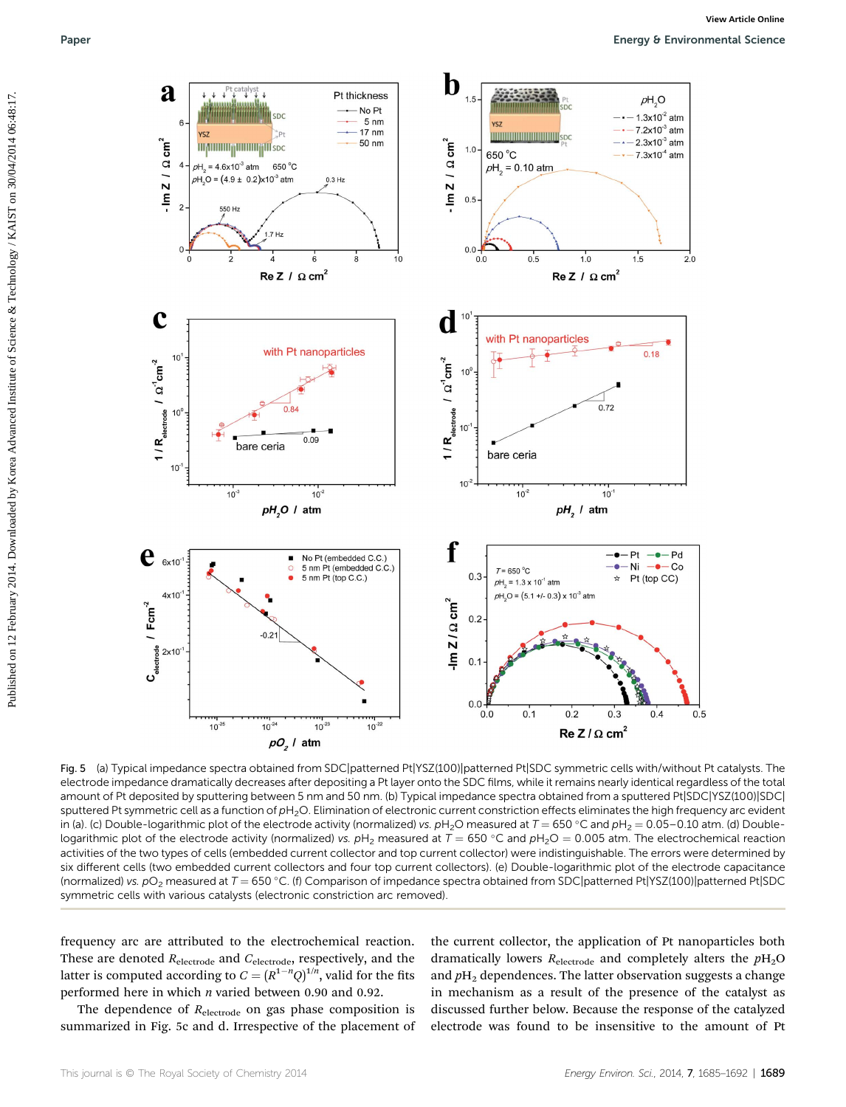

Fig. 5 (a) Typical impedance spectra obtained from SDC|patterned Pt|YSZ(100)|patterned Pt|SDC symmetric cells with/without Pt catalysts. The electrode impedance dramatically decreases after depositing a Pt layer onto the SDC films, while it remains nearly identical regardless of the total amount of Pt deposited by sputtering between 5 nm and 50 nm. (b) Typical impedance spectra obtained from a sputtered Pt|SDC|YSZ(100)|SDC| sputtered Pt symmetric cell as a function of pH<sub>2</sub>O. Elimination of electronic current constriction effects eliminates the high frequency arc evident in (a). (c) Double-logarithmic plot of the electrode activity (normalized) vs.  $pH_2O$  measured at  $T = 650 °C$  and  $pH_2 = 0.05-0.10$  atm. (d) Doublelogarithmic plot of the electrode activity (normalized) vs.  $pH_2$  measured at  $T = 650$  °C and  $pH_2O = 0.005$  atm. The electrochemical reaction activities of the two types of cells (embedded current collector and top current collector) were indistinguishable. The errors were determined by six different cells (two embedded current collectors and four top current collectors). (e) Double-logarithmic plot of the electrode capacitance (normalized) vs.  $pO_2$  measured at  $T = 650$  °C. (f) Comparison of impedance spectra obtained from SDC patterned Pt YSZ(100) | patterned Pt | SDC symmetric cells with various catalysts (electronic constriction arc removed).

frequency arc are attributed to the electrochemical reaction. These are denoted  $R_{\text{electrode}}$  and  $C_{\text{electrode}}$ , respectively, and the latter is computed according to  $C = (R^{1-n}Q)^{1/n}$ , valid for the fits performed here in which n varied between 0.90 and 0.92.

The dependence of  $R_{\text{electrode}}$  on gas phase composition is summarized in Fig. 5c and d. Irrespective of the placement of

the current collector, the application of Pt nanoparticles both dramatically lowers  $R_{\text{electrode}}$  and completely alters the  $p_{\text{H}_2\text{O}}$ and  $p_{12}$  dependences. The latter observation suggests a change in mechanism as a result of the presence of the catalyst as discussed further below. Because the response of the catalyzed electrode was found to be insensitive to the amount of Pt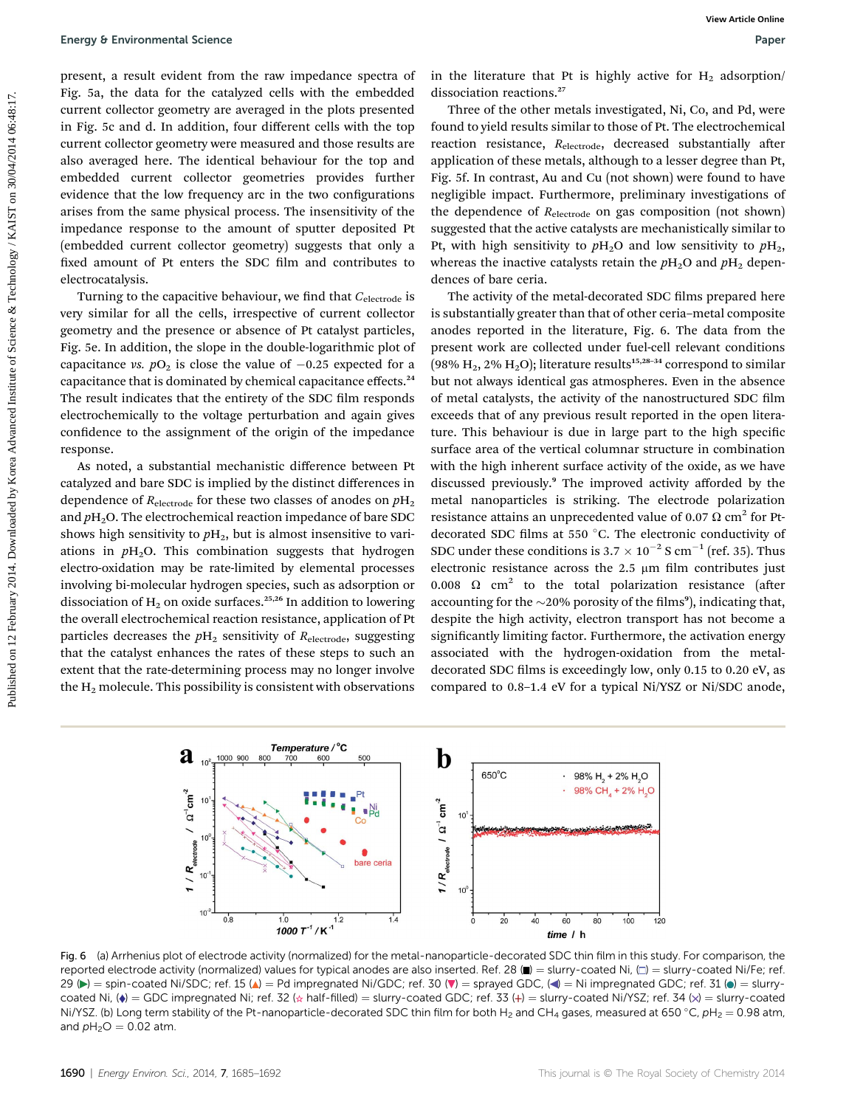present, a result evident from the raw impedance spectra of Fig. 5a, the data for the catalyzed cells with the embedded current collector geometry are averaged in the plots presented in Fig. 5c and d. In addition, four different cells with the top current collector geometry were measured and those results are also averaged here. The identical behaviour for the top and embedded current collector geometries provides further evidence that the low frequency arc in the two configurations arises from the same physical process. The insensitivity of the impedance response to the amount of sputter deposited Pt (embedded current collector geometry) suggests that only a fixed amount of Pt enters the SDC film and contributes to electrocatalysis.

Turning to the capacitive behaviour, we find that  $C_{\text{electrode}}$  is very similar for all the cells, irrespective of current collector geometry and the presence or absence of Pt catalyst particles, Fig. 5e. In addition, the slope in the double-logarithmic plot of capacitance vs.  $pO_2$  is close the value of  $-0.25$  expected for a capacitance that is dominated by chemical capacitance effects.<sup>24</sup> The result indicates that the entirety of the SDC film responds electrochemically to the voltage perturbation and again gives confidence to the assignment of the origin of the impedance response.

As noted, a substantial mechanistic difference between Pt catalyzed and bare SDC is implied by the distinct differences in dependence of  $R_{\text{electrode}}$  for these two classes of anodes on  $pH_2$ and  $p_{12}O$ . The electrochemical reaction impedance of bare SDC shows high sensitivity to  $pH_2$ , but is almost insensitive to variations in  $pH<sub>2</sub>O$ . This combination suggests that hydrogen electro-oxidation may be rate-limited by elemental processes involving bi-molecular hydrogen species, such as adsorption or dissociation of  $H_2$  on oxide surfaces.<sup>25,26</sup> In addition to lowering the overall electrochemical reaction resistance, application of Pt particles decreases the  $pH_2$  sensitivity of  $R_{\text{electrode}}$ , suggesting that the catalyst enhances the rates of these steps to such an extent that the rate-determining process may no longer involve the  $H<sub>2</sub>$  molecule. This possibility is consistent with observations

in the literature that Pt is highly active for  $H_2$  adsorption/ dissociation reactions.<sup>27</sup>

Three of the other metals investigated, Ni, Co, and Pd, were found to yield results similar to those of Pt. The electrochemical reaction resistance,  $R_{\text{electrode}}$ , decreased substantially after application of these metals, although to a lesser degree than Pt, Fig. 5f. In contrast, Au and Cu (not shown) were found to have negligible impact. Furthermore, preliminary investigations of the dependence of  $R_{\text{electrode}}$  on gas composition (not shown) suggested that the active catalysts are mechanistically similar to Pt, with high sensitivity to  $pH_2O$  and low sensitivity to  $pH_2$ , whereas the inactive catalysts retain the  $pH_2O$  and  $pH_2$  dependences of bare ceria.

The activity of the metal-decorated SDC films prepared here is substantially greater than that of other ceria–metal composite anodes reported in the literature, Fig. 6. The data from the present work are collected under fuel-cell relevant conditions (98%  $H_2$ , 2%  $H_2O$ ); literature results<sup>15,28-34</sup> correspond to similar but not always identical gas atmospheres. Even in the absence of metal catalysts, the activity of the nanostructured SDC film exceeds that of any previous result reported in the open literature. This behaviour is due in large part to the high specific surface area of the vertical columnar structure in combination with the high inherent surface activity of the oxide, as we have discussed previously.<sup>9</sup> The improved activity afforded by the metal nanoparticles is striking. The electrode polarization resistance attains an unprecedented value of 0.07  $\Omega$  cm<sup>2</sup> for Ptdecorated SDC films at 550  $^{\circ}$ C. The electronic conductivity of SDC under these conditions is  $3.7 \times 10^{-2}$  S cm<sup>-1</sup> (ref. 35). Thus electronic resistance across the  $2.5 \mu m$  film contributes just 0.008  $\Omega$  cm<sup>2</sup> to the total polarization resistance (after accounting for the  ${\sim}20\%$  porosity of the films<br>°), indicating that, despite the high activity, electron transport has not become a significantly limiting factor. Furthermore, the activation energy associated with the hydrogen-oxidation from the metaldecorated SDC films is exceedingly low, only 0.15 to 0.20 eV, as compared to 0.8–1.4 eV for a typical Ni/YSZ or Ni/SDC anode, Putergy 8 Enteromental Science<br>
Presert, a reading on the system of the distance of the distance of the control of the control of the distance of the control of the control of the control of the control of the control of t



Fig. 6 (a) Arrhenius plot of electrode activity (normalized) for the metal-nanoparticle-decorated SDC thin film in this study. For comparison, the reported electrode activity (normalized) values for typical anodes are also inserted. Ref. 28 ( $\blacksquare$ ) = slurry-coated Ni,  $\Box$ ) = slurry-coated Ni/Fe; ref. 29 ( $\blacktriangleright$ ) = spin-coated Ni/SDC; ref. 15 ( $\blacktriangle$ ) = Pd impregnated Ni/GDC; ref. 30 ( $\nabla$ ) = sprayed GDC, ( $\blacktriangleleft$ ) = Ni impregnated GDC; ref. 31 ( $\blacktriangleleft$ ) = slurrycoated Ni,  $(\bullet)$  = GDC impregnated Ni; ref. 32 ( $\star$  half-filled) = slurry-coated GDC; ref. 33 (+) = slurry-coated Ni/YSZ; ref. 34 (x) = slurry-coated Ni/YSZ. (b) Long term stability of the Pt-nanoparticle-decorated SDC thin film for both H<sub>2</sub> and CH<sub>4</sub> gases, measured at 650 °C, pH<sub>2</sub> = 0.98 atm, and  $pH_2O = 0.02$  atm.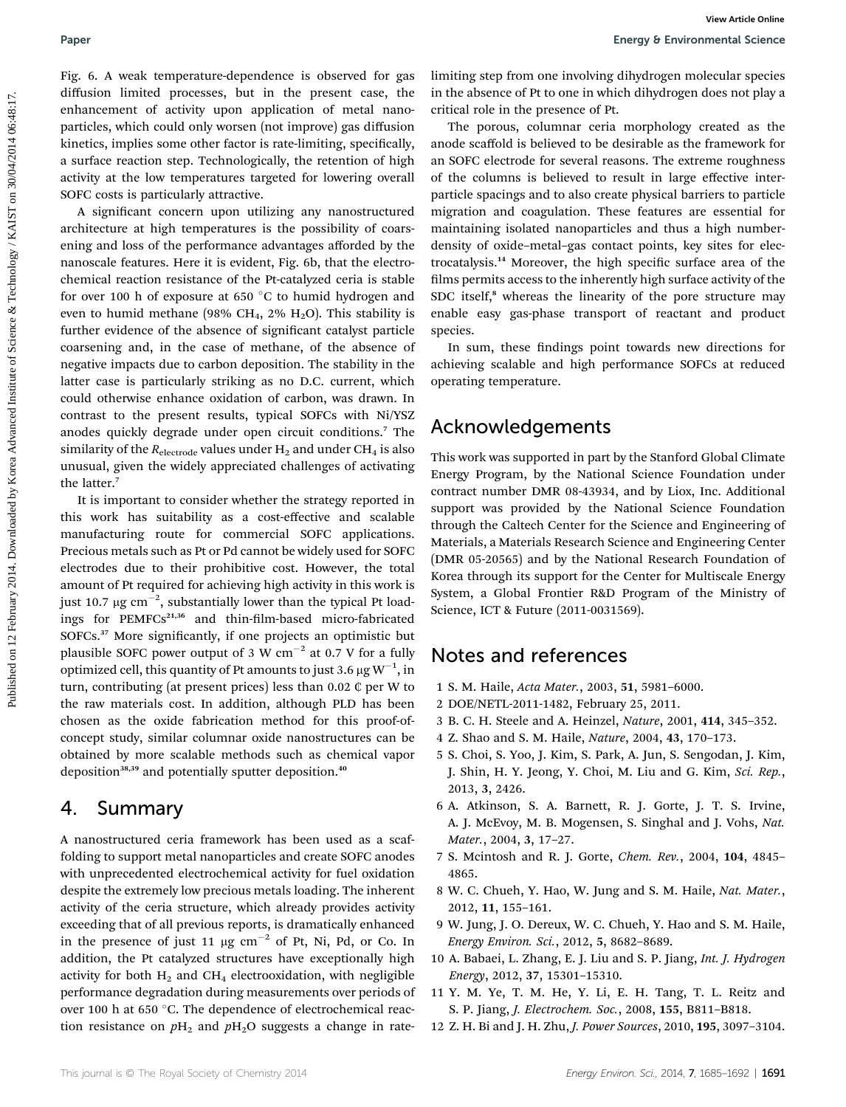Fig. 6. A weak temperature-dependence is observed for gas diffusion limited processes, but in the present case, the enhancement of activity upon application of metal nanoparticles, which could only worsen (not improve) gas diffusion kinetics, implies some other factor is rate-limiting, specifically, a surface reaction step. Technologically, the retention of high activity at the low temperatures targeted for lowering overall SOFC costs is particularly attractive.

A significant concern upon utilizing any nanostructured architecture at high temperatures is the possibility of coarsening and loss of the performance advantages afforded by the nanoscale features. Here it is evident, Fig. 6b, that the electrochemical reaction resistance of the Pt-catalyzed ceria is stable for over 100 h of exposure at 650 °C to humid hydrogen and even to humid methane (98% CH<sub>4</sub>, 2% H<sub>2</sub>O). This stability is further evidence of the absence of significant catalyst particle coarsening and, in the case of methane, of the absence of negative impacts due to carbon deposition. The stability in the latter case is particularly striking as no D.C. current, which could otherwise enhance oxidation of carbon, was drawn. In contrast to the present results, typical SOFCs with Ni/YSZ anodes quickly degrade under open circuit conditions.<sup>7</sup> The similarity of the  $R_{\text{electrode}}$  values under H<sub>2</sub> and under CH<sub>4</sub> is also unusual, given the widely appreciated challenges of activating the latter.<sup>7</sup> Paper strained on the strained operation is observed for gear limiting any form one involving displayer moderative species and the strained on the strained on the strained on the strained on the strained on the strained on

It is important to consider whether the strategy reported in this work has suitability as a cost-effective and scalable manufacturing route for commercial SOFC applications. Precious metals such as Pt or Pd cannot be widely used for SOFC electrodes due to their prohibitive cost. However, the total amount of Pt required for achieving high activity in this work is just 10.7  $\mu{\rm g~cm}^{-2}$ , substantially lower than the typical Pt loadings for PEMFCs<sup>21,36</sup> and thin-film-based micro-fabricated SOFCs.<sup>37</sup> More significantly, if one projects an optimistic but plausible SOFC power output of 3 W  $cm^{-2}$  at 0.7 V for a fully optimized cell, this quantity of Pt amounts to just 3.6  $\mu\mathrm{g\,W}^{-1}$ , in turn, contributing (at present prices) less than 0.02 ¢ per W to the raw materials cost. In addition, although PLD has been chosen as the oxide fabrication method for this proof-ofconcept study, similar columnar oxide nanostructures can be obtained by more scalable methods such as chemical vapor deposition<sup>38,39</sup> and potentially sputter deposition.<sup>40</sup>

## 4. Summary

A nanostructured ceria framework has been used as a scaffolding to support metal nanoparticles and create SOFC anodes with unprecedented electrochemical activity for fuel oxidation despite the extremely low precious metals loading. The inherent activity of the ceria structure, which already provides activity exceeding that of all previous reports, is dramatically enhanced in the presence of just 11  $\mu$ g cm<sup>-2</sup> of Pt, Ni, Pd, or Co. In addition, the Pt catalyzed structures have exceptionally high activity for both  $H_2$  and CH<sub>4</sub> electrooxidation, with negligible performance degradation during measurements over periods of over 100 h at 650 °C. The dependence of electrochemical reaction resistance on  $pH_2$  and  $pH_2O$  suggests a change in ratelimiting step from one involving dihydrogen molecular species in the absence of Pt to one in which dihydrogen does not play a critical role in the presence of Pt.

The porous, columnar ceria morphology created as the anode scaffold is believed to be desirable as the framework for an SOFC electrode for several reasons. The extreme roughness of the columns is believed to result in large effective interparticle spacings and to also create physical barriers to particle migration and coagulation. These features are essential for maintaining isolated nanoparticles and thus a high numberdensity of oxide–metal–gas contact points, key sites for electrocatalysis.<sup>14</sup> Moreover, the high specific surface area of the films permits access to the inherently high surface activity of the SDC itself,<sup>8</sup> whereas the linearity of the pore structure may enable easy gas-phase transport of reactant and product species.

In sum, these findings point towards new directions for achieving scalable and high performance SOFCs at reduced operating temperature.

# Acknowledgements

This work was supported in part by the Stanford Global Climate Energy Program, by the National Science Foundation under contract number DMR 08-43934, and by Liox, Inc. Additional support was provided by the National Science Foundation through the Caltech Center for the Science and Engineering of Materials, a Materials Research Science and Engineering Center (DMR 05-20565) and by the National Research Foundation of Korea through its support for the Center for Multiscale Energy System, a Global Frontier R&D Program of the Ministry of Science, ICT & Future (2011-0031569).

## Notes and references

- 1 S. M. Haile, Acta Mater., 2003, 51, 5981–6000.
- 2 DOE/NETL-2011-1482, February 25, 2011.
- 3 B. C. H. Steele and A. Heinzel, Nature, 2001, 414, 345–352.
- 4 Z. Shao and S. M. Haile, Nature, 2004, 43, 170–173.
- 5 S. Choi, S. Yoo, J. Kim, S. Park, A. Jun, S. Sengodan, J. Kim, J. Shin, H. Y. Jeong, Y. Choi, M. Liu and G. Kim, Sci. Rep., 2013, 3, 2426.
- 6 A. Atkinson, S. A. Barnett, R. J. Gorte, J. T. S. Irvine, A. J. McEvoy, M. B. Mogensen, S. Singhal and J. Vohs, Nat. Mater., 2004, 3, 17–27.
- 7 S. Mcintosh and R. J. Gorte, Chem. Rev., 2004, 104, 4845– 4865.
- 8 W. C. Chueh, Y. Hao, W. Jung and S. M. Haile, Nat. Mater., 2012, 11, 155–161.
- 9 W. Jung, J. O. Dereux, W. C. Chueh, Y. Hao and S. M. Haile, Energy Environ. Sci., 2012, 5, 8682–8689.
- 10 A. Babaei, L. Zhang, E. J. Liu and S. P. Jiang, Int. J. Hydrogen Energy, 2012, 37, 15301–15310.
- 11 Y. M. Ye, T. M. He, Y. Li, E. H. Tang, T. L. Reitz and S. P. Jiang, J. Electrochem. Soc., 2008, 155, B811–B818.
- 12 Z. H. Bi and J. H. Zhu, J. Power Sources, 2010, 195, 3097–3104.